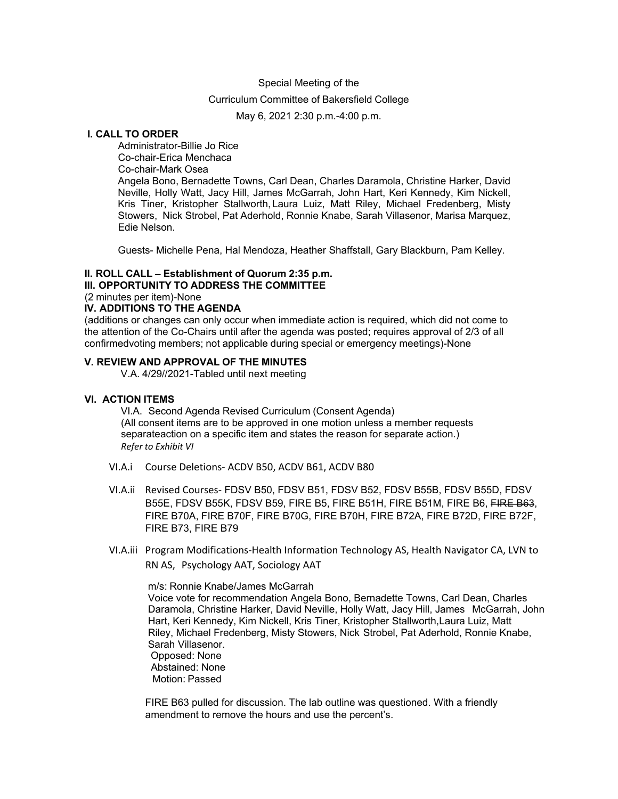#### Special Meeting of the

## Curriculum Committee of Bakersfield College

May 6, 2021 2:30 p.m.-4:00 p.m.

# **I. CALL TO ORDER**

Administrator-Billie Jo Rice Co-chair-Erica Menchaca Co-chair-Mark Osea Angela Bono, Bernadette Towns, Carl Dean, Charles Daramola, Christine Harker, David Neville, Holly Watt, Jacy Hill, James McGarrah, John Hart, Keri Kennedy, Kim Nickell, Kris Tiner, Kristopher Stallworth, Laura Luiz, Matt Riley, Michael Fredenberg, Misty Stowers, Nick Strobel, Pat Aderhold, Ronnie Knabe, Sarah Villasenor, Marisa Marquez, Edie Nelson.

Guests- Michelle Pena, Hal Mendoza, Heather Shaffstall, Gary Blackburn, Pam Kelley.

#### **II. ROLL CALL – Establishment of Quorum 2:35 p.m.**

**III. OPPORTUNITY TO ADDRESS THE COMMITTEE**

(2 minutes per item)-None

#### **IV. ADDITIONS TO THE AGENDA**

(additions or changes can only occur when immediate action is required, which did not come to the attention of the Co-Chairs until after the agenda was posted; requires approval of 2/3 of all confirmedvoting members; not applicable during special or emergency meetings)-None

## **V. REVIEW AND APPROVAL OF THE MINUTES**

V.A. 4/29//2021-Tabled until next meeting

#### **VI. ACTION ITEMS**

VI.A. Second Agenda Revised Curriculum (Consent Agenda) (All consent items are to be approved in one motion unless a member requests separateaction on a specific item and states the reason for separate action.) *Refer to Exhibit VI*

- VI.A.i Course Deletions- ACDV B50, ACDV B61, ACDV B80
- VI.A.ii Revised Courses- FDSV B50, FDSV B51, FDSV B52, FDSV B55B, FDSV B55D, FDSV B55E, FDSV B55K, FDSV B59, FIRE B5, FIRE B51H, FIRE B51M, FIRE B6, FIRE B63, FIRE B70A, FIRE B70F, FIRE B70G, FIRE B70H, FIRE B72A, FIRE B72D, FIRE B72F, FIRE B73, FIRE B79
- VI.A.iii Program Modifications-Health Information Technology AS, Health Navigator CA, LVN to RN AS, Psychology AAT, Sociology AAT

m/s: Ronnie Knabe/James McGarrah Voice vote for recommendation Angela Bono, Bernadette Towns, Carl Dean, Charles Daramola, Christine Harker, David Neville, Holly Watt, Jacy Hill, James McGarrah, John Hart, Keri Kennedy, Kim Nickell, Kris Tiner, Kristopher Stallworth,Laura Luiz, Matt Riley, Michael Fredenberg, Misty Stowers, Nick Strobel, Pat Aderhold, Ronnie Knabe, Sarah Villasenor. Opposed: None Abstained: None Motion: Passed

FIRE B63 pulled for discussion. The lab outline was questioned. With a friendly amendment to remove the hours and use the percent's.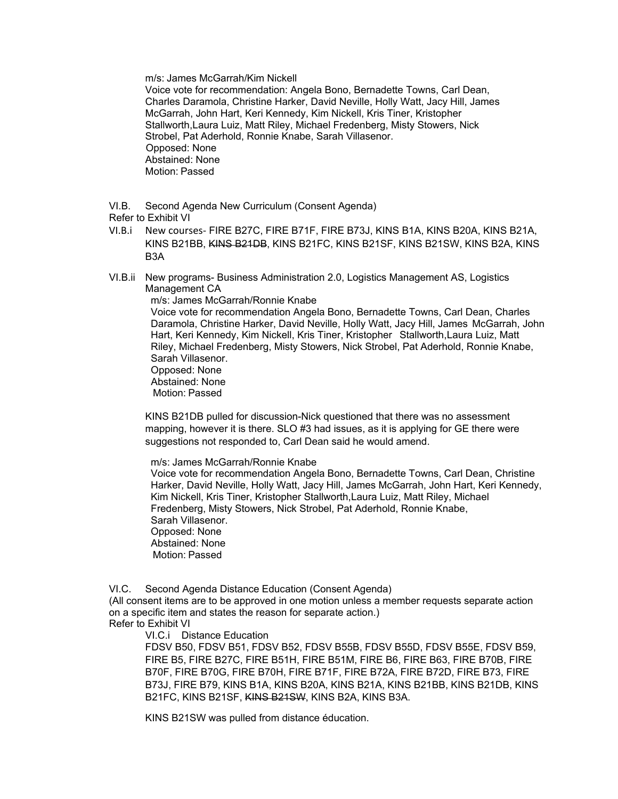m/s: James McGarrah/Kim Nickell

Voice vote for recommendation: Angela Bono, Bernadette Towns, Carl Dean, Charles Daramola, Christine Harker, David Neville, Holly Watt, Jacy Hill, James McGarrah, John Hart, Keri Kennedy, Kim Nickell, Kris Tiner, Kristopher Stallworth,Laura Luiz, Matt Riley, Michael Fredenberg, Misty Stowers, Nick Strobel, Pat Aderhold, Ronnie Knabe, Sarah Villasenor. Opposed: None Abstained: None Motion: Passed

VI.B. Second Agenda New Curriculum (Consent Agenda)

Refer to Exhibit VI

- VI.B.i New courses- FIRE B27C, FIRE B71F, FIRE B73J, KINS B1A, KINS B20A, KINS B21A, KINS B21BB, KINS B21DB, KINS B21FC, KINS B21SF, KINS B21SW, KINS B2A, KINS B3A
- VI.B.ii New programs- Business Administration 2.0, Logistics Management AS, Logistics Management CA

m/s: James McGarrah/Ronnie Knabe

 Voice vote for recommendation Angela Bono, Bernadette Towns, Carl Dean, Charles Daramola, Christine Harker, David Neville, Holly Watt, Jacy Hill, James McGarrah, John Hart, Keri Kennedy, Kim Nickell, Kris Tiner, Kristopher Stallworth,Laura Luiz, Matt Riley, Michael Fredenberg, Misty Stowers, Nick Strobel, Pat Aderhold, Ronnie Knabe, Sarah Villasenor.

 Opposed: None Abstained: None Motion: Passed

KINS B21DB pulled for discussion-Nick questioned that there was no assessment mapping, however it is there. SLO #3 had issues, as it is applying for GE there were suggestions not responded to, Carl Dean said he would amend.

m/s: James McGarrah/Ronnie Knabe

 Voice vote for recommendation Angela Bono, Bernadette Towns, Carl Dean, Christine Harker, David Neville, Holly Watt, Jacy Hill, James McGarrah, John Hart, Keri Kennedy, Kim Nickell, Kris Tiner, Kristopher Stallworth,Laura Luiz, Matt Riley, Michael Fredenberg, Misty Stowers, Nick Strobel, Pat Aderhold, Ronnie Knabe, Sarah Villasenor. Opposed: None Abstained: None Motion: Passed

VI.C. Second Agenda Distance Education (Consent Agenda)

(All consent items are to be approved in one motion unless a member requests separate action on a specific item and states the reason for separate action.) Refer to Exhibit VI

VI.C.i Distance Education

FDSV B50, FDSV B51, FDSV B52, FDSV B55B, FDSV B55D, FDSV B55E, FDSV B59, FIRE B5, FIRE B27C, FIRE B51H, FIRE B51M, FIRE B6, FIRE B63, FIRE B70B, FIRE B70F, FIRE B70G, FIRE B70H, FIRE B71F, FIRE B72A, FIRE B72D, FIRE B73, FIRE B73J, FIRE B79, KINS B1A, KINS B20A, KINS B21A, KINS B21BB, KINS B21DB, KINS B21FC, KINS B21SF, KINS B21SW, KINS B2A, KINS B3A.

KINS B21SW was pulled from distance éducation.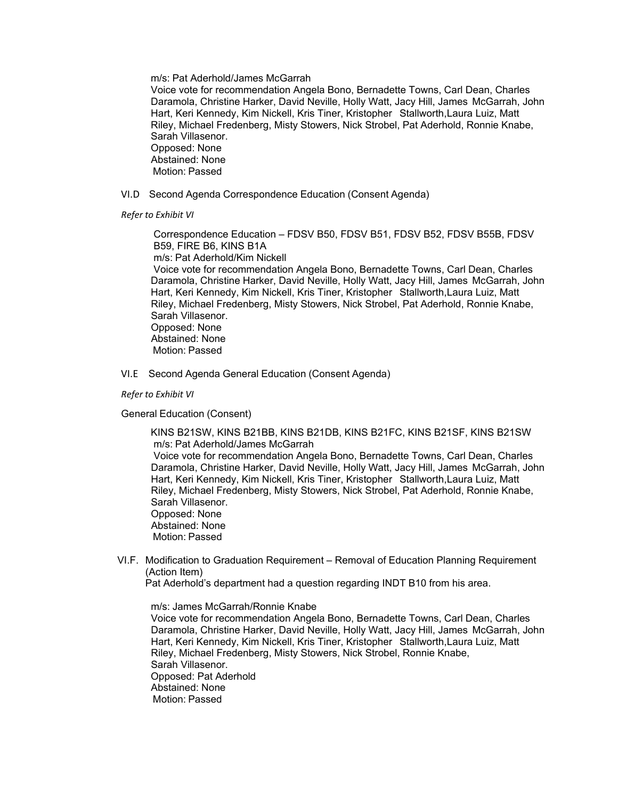m/s: Pat Aderhold/James McGarrah

 Voice vote for recommendation Angela Bono, Bernadette Towns, Carl Dean, Charles Daramola, Christine Harker, David Neville, Holly Watt, Jacy Hill, James McGarrah, John Hart, Keri Kennedy, Kim Nickell, Kris Tiner, Kristopher Stallworth,Laura Luiz, Matt Riley, Michael Fredenberg, Misty Stowers, Nick Strobel, Pat Aderhold, Ronnie Knabe, Sarah Villasenor. Opposed: None Abstained: None

Motion: Passed

VI.D Second Agenda Correspondence Education (Consent Agenda)

*Refer to Exhibit VI*

 Correspondence Education – FDSV B50, FDSV B51, FDSV B52, FDSV B55B, FDSV B59, FIRE B6, KINS B1A m/s: Pat Aderhold/Kim Nickell

 Voice vote for recommendation Angela Bono, Bernadette Towns, Carl Dean, Charles Daramola, Christine Harker, David Neville, Holly Watt, Jacy Hill, James McGarrah, John Hart, Keri Kennedy, Kim Nickell, Kris Tiner, Kristopher Stallworth,Laura Luiz, Matt Riley, Michael Fredenberg, Misty Stowers, Nick Strobel, Pat Aderhold, Ronnie Knabe, Sarah Villasenor. Opposed: None Abstained: None

Motion: Passed

VI.E Second Agenda General Education (Consent Agenda)

*Refer to Exhibit VI*

General Education (Consent)

 KINS B21SW, KINS B21BB, KINS B21DB, KINS B21FC, KINS B21SF, KINS B21SW m/s: Pat Aderhold/James McGarrah

 Voice vote for recommendation Angela Bono, Bernadette Towns, Carl Dean, Charles Daramola, Christine Harker, David Neville, Holly Watt, Jacy Hill, James McGarrah, John Hart, Keri Kennedy, Kim Nickell, Kris Tiner, Kristopher Stallworth,Laura Luiz, Matt Riley, Michael Fredenberg, Misty Stowers, Nick Strobel, Pat Aderhold, Ronnie Knabe, Sarah Villasenor. Opposed: None

 Abstained: None Motion: Passed

 VI.F. Modification to Graduation Requirement – Removal of Education Planning Requirement (Action Item)

Pat Aderhold's department had a question regarding INDT B10 from his area.

m/s: James McGarrah/Ronnie Knabe

 Voice vote for recommendation Angela Bono, Bernadette Towns, Carl Dean, Charles Daramola, Christine Harker, David Neville, Holly Watt, Jacy Hill, James McGarrah, John Hart, Keri Kennedy, Kim Nickell, Kris Tiner, Kristopher Stallworth,Laura Luiz, Matt Riley, Michael Fredenberg, Misty Stowers, Nick Strobel, Ronnie Knabe, Sarah Villasenor. Opposed: Pat Aderhold Abstained: None Motion: Passed